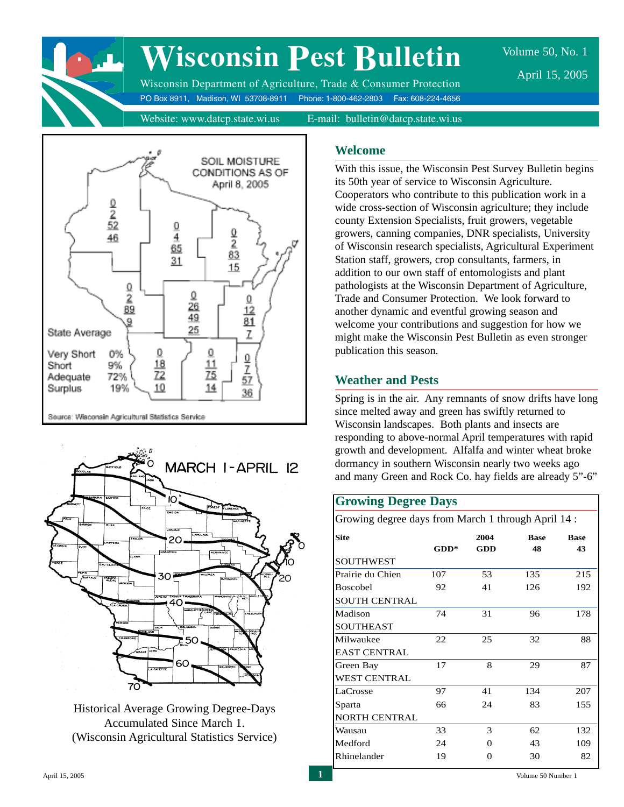# **Wisconsin Pest Bulletin**

Wisconsin Department of Agriculture, Trade & Consumer Protection PO Box 8911, Madison, WI 53708-8911 Phone: 1-800-462-2803 Fax: 608-224-4656 Volume 50, No. 1 April 15, 2005

Website: www.datcp.state.wi.us E-mail: bulletin@datcp.state.wi.us





Historical Average Growing Degree-Days Accumulated Since March 1. (Wisconsin Agricultural Statistics Service)

# **Welcome**

With this issue, the Wisconsin Pest Survey Bulletin begins its 50th year of service to Wisconsin Agriculture. Cooperators who contribute to this publication work in a wide cross-section of Wisconsin agriculture; they include county Extension Specialists, fruit growers, vegetable growers, canning companies, DNR specialists, University of Wisconsin research specialists, Agricultural Experiment Station staff, growers, crop consultants, farmers, in addition to our own staff of entomologists and plant pathologists at the Wisconsin Department of Agriculture, Trade and Consumer Protection. We look forward to another dynamic and eventful growing season and welcome your contributions and suggestion for how we might make the Wisconsin Pest Bulletin as even stronger publication this season.

# **Weather and Pests**

Spring is in the air. Any remnants of snow drifts have long since melted away and green has swiftly returned to Wisconsin landscapes. Both plants and insects are responding to above-normal April temperatures with rapid growth and development. Alfalfa and winter wheat broke dormancy in southern Wisconsin nearly two weeks ago and many Green and Rock Co. hay fields are already 5"-6"

# **Growing Degree Days**

Growing degree days from March 1 through April 14 :

| <b>Site</b>          |        | 2004 | <b>Rase</b> | <b>Rase</b> |
|----------------------|--------|------|-------------|-------------|
|                      | $GDD*$ | GDD  | 48          | 43          |
| <b>SOUTHWEST</b>     |        |      |             |             |
| Prairie du Chien     | 107    | 53   | 135         | 215         |
| Boscobel             | 92     | 41   | 126         | 192         |
| <b>SOUTH CENTRAL</b> |        |      |             |             |
| Madison              | 74     | 31   | 96          | 178         |
| <b>SOUTHEAST</b>     |        |      |             |             |
| Milwaukee            | 22     | 25   | 32          | 88          |
| <b>EAST CENTRAL</b>  |        |      |             |             |
| Green Bay            | 17     | 8    | 29          | 87          |
| <b>WEST CENTRAL</b>  |        |      |             |             |
| LaCrosse             | 97     | 41   | 134         | 207         |
| Sparta               | 66     | 24   | 83          | 155         |
| <b>NORTH CENTRAL</b> |        |      |             |             |
| Wausau               | 33     | 3    | 62          | 132         |
| Medford              | 24     | 0    | 43          | 109         |
| Rhinelander          | 19     | 0    | 30          | 82          |
|                      |        |      |             |             |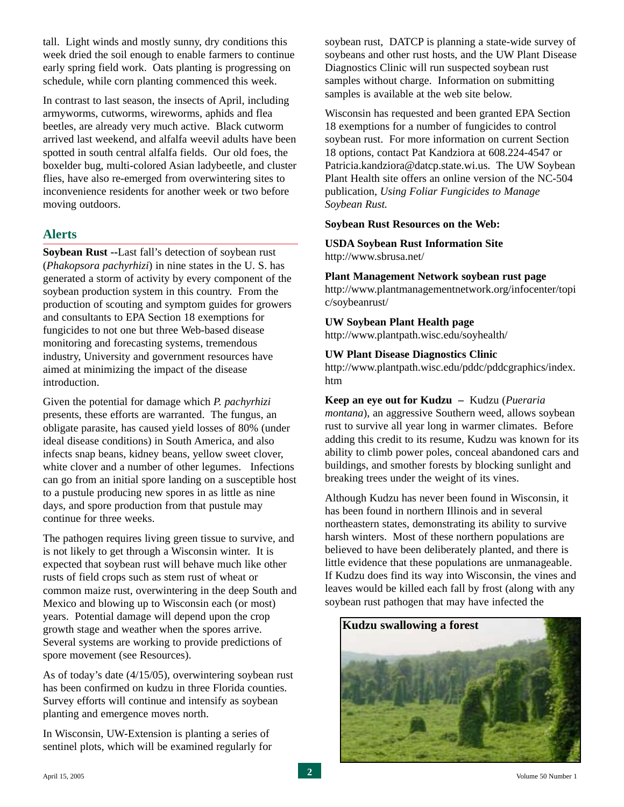tall. Light winds and mostly sunny, dry conditions this week dried the soil enough to enable farmers to continue early spring field work. Oats planting is progressing on schedule, while corn planting commenced this week.

In contrast to last season, the insects of April, including armyworms, cutworms, wireworms, aphids and flea beetles, are already very much active. Black cutworm arrived last weekend, and alfalfa weevil adults have been spotted in south central alfalfa fields. Our old foes, the boxelder bug, multi-colored Asian ladybeetle, and cluster flies, have also re-emerged from overwintering sites to inconvenience residents for another week or two before moving outdoors.

# **Alerts**

**Soybean Rust --**Last fall's detection of soybean rust (*Phakopsora pachyrhizi*) in nine states in the U. S. has generated a storm of activity by every component of the soybean production system in this country. From the production of scouting and symptom guides for growers and consultants to EPA Section 18 exemptions for fungicides to not one but three Web-based disease monitoring and forecasting systems, tremendous industry, University and government resources have aimed at minimizing the impact of the disease introduction.

Given the potential for damage which *P. pachyrhizi* presents, these efforts are warranted. The fungus, an obligate parasite, has caused yield losses of 80% (under ideal disease conditions) in South America, and also infects snap beans, kidney beans, yellow sweet clover, white clover and a number of other legumes. Infections can go from an initial spore landing on a susceptible host to a pustule producing new spores in as little as nine days, and spore production from that pustule may continue for three weeks.

The pathogen requires living green tissue to survive, and is not likely to get through a Wisconsin winter. It is expected that soybean rust will behave much like other rusts of field crops such as stem rust of wheat or common maize rust, overwintering in the deep South and Mexico and blowing up to Wisconsin each (or most) years. Potential damage will depend upon the crop growth stage and weather when the spores arrive. Several systems are working to provide predictions of spore movement (see Resources).

As of today's date (4/15/05), overwintering soybean rust has been confirmed on kudzu in three Florida counties. Survey efforts will continue and intensify as soybean planting and emergence moves north.

In Wisconsin, UW-Extension is planting a series of sentinel plots, which will be examined regularly for soybean rust, DATCP is planning a state-wide survey of soybeans and other rust hosts, and the UW Plant Disease Diagnostics Clinic will run suspected soybean rust samples without charge. Information on submitting samples is available at the web site below.

Wisconsin has requested and been granted EPA Section 18 exemptions for a number of fungicides to control soybean rust. For more information on current Section 18 options, contact Pat Kandziora at 608.224-4547 or Patricia.kandziora@datcp.state.wi.us. The UW Soybean Plant Health site offers an online version of the NC-504 publication, *Using Foliar Fungicides to Manage Soybean Rust.*

#### **Soybean Rust Resources on the Web:**

#### **USDA Soybean Rust Information Site** http://www.sbrusa.net/

**Plant Management Network soybean rust page** http://www.plantmanagementnetwork.org/infocenter/topi c/soybeanrust/

#### **UW Soybean Plant Health page**

http://www.plantpath.wisc.edu/soyhealth/

#### **UW Plant Disease Diagnostics Clinic**

http://www.plantpath.wisc.edu/pddc/pddcgraphics/index. htm

#### **Keep an eye out for Kudzu –** Kudzu (*Pueraria*

*montana*), an aggressive Southern weed, allows soybean rust to survive all year long in warmer climates. Before adding this credit to its resume, Kudzu was known for its ability to climb power poles, conceal abandoned cars and buildings, and smother forests by blocking sunlight and breaking trees under the weight of its vines.

Although Kudzu has never been found in Wisconsin, it has been found in northern Illinois and in several northeastern states, demonstrating its ability to survive harsh winters. Most of these northern populations are believed to have been deliberately planted, and there is little evidence that these populations are unmanageable. If Kudzu does find its way into Wisconsin, the vines and leaves would be killed each fall by frost (along with any soybean rust pathogen that may have infected the

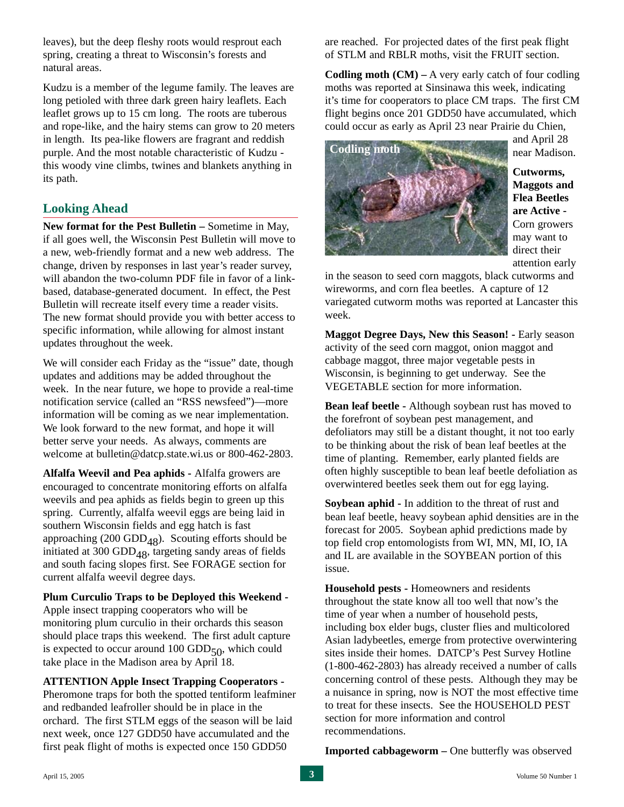leaves), but the deep fleshy roots would resprout each spring, creating a threat to Wisconsin's forests and natural areas.

Kudzu is a member of the legume family. The leaves are long petioled with three dark green hairy leaflets. Each leaflet grows up to 15 cm long. The roots are tuberous and rope-like, and the hairy stems can grow to 20 meters in length. Its pea-like flowers are fragrant and reddish purple. And the most notable characteristic of Kudzu this woody vine climbs, twines and blankets anything in its path.

# **Looking Ahead**

**New format for the Pest Bulletin –** Sometime in May, if all goes well, the Wisconsin Pest Bulletin will move to a new, web-friendly format and a new web address. The change, driven by responses in last year's reader survey, will abandon the two-column PDF file in favor of a linkbased, database-generated document. In effect, the Pest Bulletin will recreate itself every time a reader visits. The new format should provide you with better access to specific information, while allowing for almost instant updates throughout the week.

We will consider each Friday as the "issue" date, though updates and additions may be added throughout the week. In the near future, we hope to provide a real-time notification service (called an "RSS newsfeed")—more information will be coming as we near implementation. We look forward to the new format, and hope it will better serve your needs. As always, comments are welcome at bulletin@datcp.state.wi.us or 800-462-2803.

**Alfalfa Weevil and Pea aphids -** Alfalfa growers are encouraged to concentrate monitoring efforts on alfalfa weevils and pea aphids as fields begin to green up this spring. Currently, alfalfa weevil eggs are being laid in southern Wisconsin fields and egg hatch is fast approaching (200 GDD<sub>48</sub>). Scouting efforts should be initiated at 300 GDD<sub>48</sub>, targeting sandy areas of fields and south facing slopes first. See FORAGE section for current alfalfa weevil degree days.

#### **Plum Curculio Traps to be Deployed this Weekend -**

Apple insect trapping cooperators who will be monitoring plum curculio in their orchards this season should place traps this weekend. The first adult capture is expected to occur around 100 GDD $_{50}$ , which could take place in the Madison area by April 18.

#### **ATTENTION Apple Insect Trapping Cooperators -**

Pheromone traps for both the spotted tentiform leafminer and redbanded leafroller should be in place in the orchard. The first STLM eggs of the season will be laid next week, once 127 GDD50 have accumulated and the first peak flight of moths is expected once 150 GDD50

are reached. For projected dates of the first peak flight of STLM and RBLR moths, visit the FRUIT section.

**Codling moth (CM) – A very early catch of four codling** moths was reported at Sinsinawa this week, indicating it's time for cooperators to place CM traps. The first CM flight begins once 201 GDD50 have accumulated, which could occur as early as April 23 near Prairie du Chien,



and April 28 near Madison.

**Cutworms, Maggots and Flea Beetles are Active -** Corn growers may want to direct their attention early

in the season to seed corn maggots, black cutworms and wireworms, and corn flea beetles. A capture of 12 variegated cutworm moths was reported at Lancaster this week.

**Maggot Degree Days, New this Season! -** Early season activity of the seed corn maggot, onion maggot and cabbage maggot, three major vegetable pests in Wisconsin, is beginning to get underway. See the VEGETABLE section for more information.

**Bean leaf beetle -** Although soybean rust has moved to the forefront of soybean pest management, and defoliators may still be a distant thought, it not too early to be thinking about the risk of bean leaf beetles at the time of planting. Remember, early planted fields are often highly susceptible to bean leaf beetle defoliation as overwintered beetles seek them out for egg laying.

**Soybean aphid -** In addition to the threat of rust and bean leaf beetle, heavy soybean aphid densities are in the forecast for 2005. Soybean aphid predictions made by top field crop entomologists from WI, MN, MI, IO, IA and IL are available in the SOYBEAN portion of this issue.

**Household pests -** Homeowners and residents throughout the state know all too well that now's the time of year when a number of household pests, including box elder bugs, cluster flies and multicolored Asian ladybeetles, emerge from protective overwintering sites inside their homes. DATCP's Pest Survey Hotline (1-800-462-2803) has already received a number of calls concerning control of these pests. Although they may be a nuisance in spring, now is NOT the most effective time to treat for these insects. See the HOUSEHOLD PEST section for more information and control recommendations.

**Imported cabbageworm –** One butterfly was observed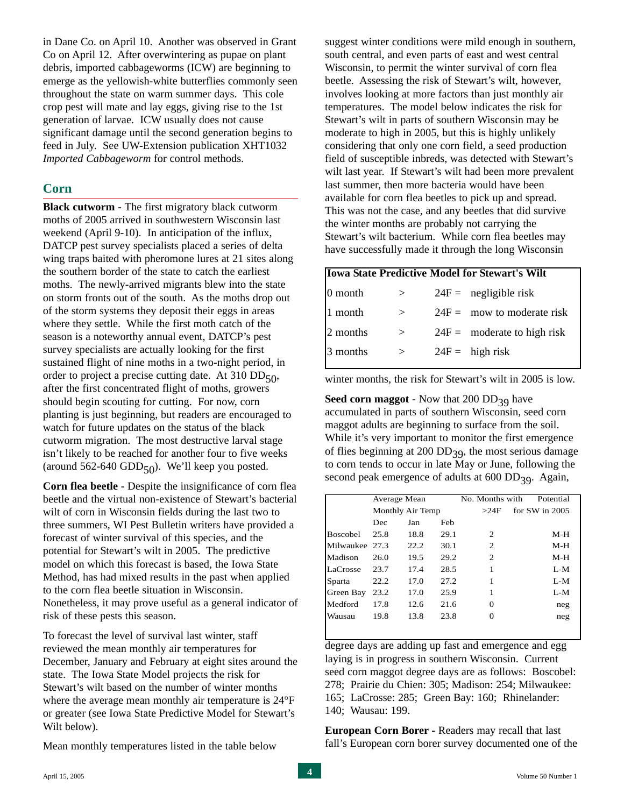in Dane Co. on April 10. Another was observed in Grant Co on April 12. After overwintering as pupae on plant debris, imported cabbageworms (ICW) are beginning to emerge as the yellowish-white butterflies commonly seen throughout the state on warm summer days. This cole crop pest will mate and lay eggs, giving rise to the 1st generation of larvae. ICW usually does not cause significant damage until the second generation begins to feed in July. See UW-Extension publication XHT1032 *Imported Cabbageworm* for control methods.

#### **Corn**

**Black cutworm -** The first migratory black cutworm moths of 2005 arrived in southwestern Wisconsin last weekend (April 9-10). In anticipation of the influx, DATCP pest survey specialists placed a series of delta wing traps baited with pheromone lures at 21 sites along the southern border of the state to catch the earliest moths. The newly-arrived migrants blew into the state on storm fronts out of the south. As the moths drop out of the storm systems they deposit their eggs in areas where they settle. While the first moth catch of the season is a noteworthy annual event, DATCP's pest survey specialists are actually looking for the first sustained flight of nine moths in a two-night period, in order to project a precise cutting date. At  $310$  DD<sub>50</sub>, after the first concentrated flight of moths, growers should begin scouting for cutting. For now, corn planting is just beginning, but readers are encouraged to watch for future updates on the status of the black cutworm migration. The most destructive larval stage isn't likely to be reached for another four to five weeks (around 562-640 GDD $_{50}$ ). We'll keep you posted.

**Corn flea beetle -** Despite the insignificance of corn flea beetle and the virtual non-existence of Stewart's bacterial wilt of corn in Wisconsin fields during the last two to three summers, WI Pest Bulletin writers have provided a forecast of winter survival of this species, and the potential for Stewart's wilt in 2005. The predictive model on which this forecast is based, the Iowa State Method, has had mixed results in the past when applied to the corn flea beetle situation in Wisconsin. Nonetheless, it may prove useful as a general indicator of risk of these pests this season.

To forecast the level of survival last winter, staff reviewed the mean monthly air temperatures for December, January and February at eight sites around the state. The Iowa State Model projects the risk for Stewart's wilt based on the number of winter months where the average mean monthly air temperature is 24°F or greater (see Iowa State Predictive Model for Stewart's Wilt below).

Mean monthly temperatures listed in the table below

suggest winter conditions were mild enough in southern, south central, and even parts of east and west central Wisconsin, to permit the winter survival of corn flea beetle. Assessing the risk of Stewart's wilt, however, involves looking at more factors than just monthly air temperatures. The model below indicates the risk for Stewart's wilt in parts of southern Wisconsin may be moderate to high in 2005, but this is highly unlikely considering that only one corn field, a seed production field of susceptible inbreds, was detected with Stewart's wilt last year. If Stewart's wilt had been more prevalent last summer, then more bacteria would have been available for corn flea beetles to pick up and spread. This was not the case, and any beetles that did survive the winter months are probably not carrying the Stewart's wilt bacterium. While corn flea beetles may have successfully made it through the long Wisconsin

#### **Iowa State Predictive Model for Stewart's Wilt**

| 10 month | $\geq$ | $24F =$ negligible risk       |
|----------|--------|-------------------------------|
| 1 month  | $\geq$ | $24F =$ mow to moderate risk  |
| 2 months | >      | $24F =$ moderate to high risk |
| 3 months | $\geq$ | $24F =$ high risk             |
|          |        |                               |

winter months, the risk for Stewart's wilt in 2005 is low.

**Seed corn maggot -** Now that 200 DD<sub>39</sub> have accumulated in parts of southern Wisconsin, seed corn maggot adults are beginning to surface from the soil. While it's very important to monitor the first emergence of flies beginning at 200 DD<sub>39</sub>, the most serious damage to corn tends to occur in late May or June, following the second peak emergence of adults at  $600$  DD<sub>39</sub>. Again,

|                 |      | Average Mean     |      | No. Months with | Potential          |
|-----------------|------|------------------|------|-----------------|--------------------|
|                 |      | Monthly Air Temp |      | >24F            | for $SW$ in $2005$ |
|                 | Dec  | Jan              | Feb  |                 |                    |
| <b>Boscobel</b> | 25.8 | 18.8             | 29.1 | 2               | M-H                |
| Milwaukee 27.3  |      | 22.2             | 30.1 | 2               | M-H                |
| Madison         | 26.0 | 19.5             | 29.2 | 2               | M-H                |
| LaCrosse        | 23.7 | 17.4             | 28.5 | 1               | L-M                |
| Sparta          | 22.2 | 17.0             | 27.2 | 1               | L-M                |
| Green Bay       | 23.2 | 17.0             | 25.9 | 1               | L-M                |
| Medford         | 17.8 | 12.6             | 21.6 | 0               | neg                |
| Wausau          | 19.8 | 13.8             | 23.8 | 0               | neg                |
|                 |      |                  |      |                 |                    |

degree days are adding up fast and emergence and egg laying is in progress in southern Wisconsin. Current seed corn maggot degree days are as follows: Boscobel: 278; Prairie du Chien: 305; Madison: 254; Milwaukee: 165; LaCrosse: 285; Green Bay: 160; Rhinelander: 140; Wausau: 199.

**European Corn Borer -** Readers may recall that last fall's European corn borer survey documented one of the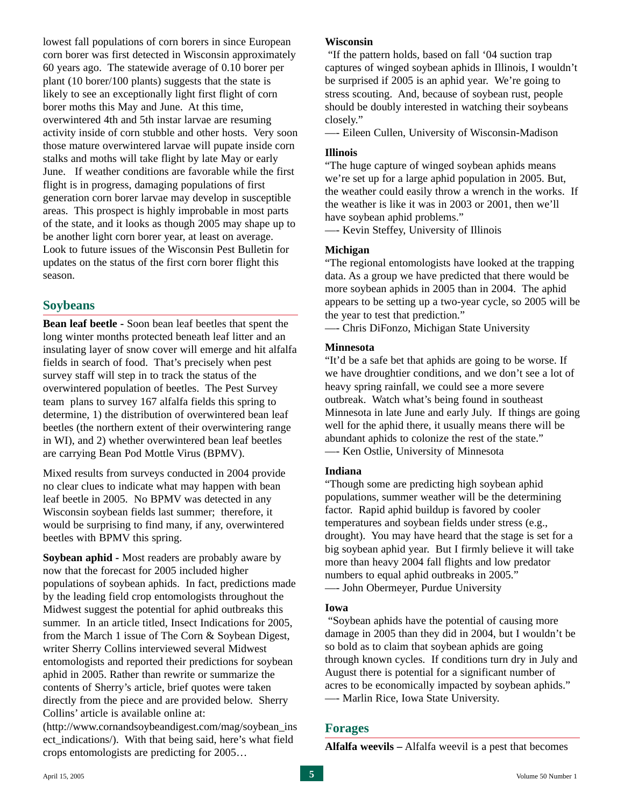lowest fall populations of corn borers in since European corn borer was first detected in Wisconsin approximately 60 years ago. The statewide average of 0.10 borer per plant (10 borer/100 plants) suggests that the state is likely to see an exceptionally light first flight of corn borer moths this May and June. At this time, overwintered 4th and 5th instar larvae are resuming activity inside of corn stubble and other hosts. Very soon those mature overwintered larvae will pupate inside corn stalks and moths will take flight by late May or early June. If weather conditions are favorable while the first flight is in progress, damaging populations of first generation corn borer larvae may develop in susceptible areas. This prospect is highly improbable in most parts of the state, and it looks as though 2005 may shape up to be another light corn borer year, at least on average. Look to future issues of the Wisconsin Pest Bulletin for updates on the status of the first corn borer flight this season.

# **Soybeans**

**Bean leaf beetle -** Soon bean leaf beetles that spent the long winter months protected beneath leaf litter and an insulating layer of snow cover will emerge and hit alfalfa fields in search of food. That's precisely when pest survey staff will step in to track the status of the overwintered population of beetles. The Pest Survey team plans to survey 167 alfalfa fields this spring to determine, 1) the distribution of overwintered bean leaf beetles (the northern extent of their overwintering range in WI), and 2) whether overwintered bean leaf beetles are carrying Bean Pod Mottle Virus (BPMV).

Mixed results from surveys conducted in 2004 provide no clear clues to indicate what may happen with bean leaf beetle in 2005. No BPMV was detected in any Wisconsin soybean fields last summer; therefore, it would be surprising to find many, if any, overwintered beetles with BPMV this spring.

**Soybean aphid -** Most readers are probably aware by now that the forecast for 2005 included higher populations of soybean aphids. In fact, predictions made by the leading field crop entomologists throughout the Midwest suggest the potential for aphid outbreaks this summer. In an article titled, Insect Indications for 2005, from the March 1 issue of The Corn & Soybean Digest, writer Sherry Collins interviewed several Midwest entomologists and reported their predictions for soybean aphid in 2005. Rather than rewrite or summarize the contents of Sherry's article, brief quotes were taken directly from the piece and are provided below. Sherry Collins' article is available online at:

(http://www.cornandsoybeandigest.com/mag/soybean\_ins ect indications/). With that being said, here's what field crops entomologists are predicting for 2005…

#### **Wisconsin**

"If the pattern holds, based on fall '04 suction trap captures of winged soybean aphids in Illinois, I wouldn't be surprised if 2005 is an aphid year. We're going to stress scouting. And, because of soybean rust, people should be doubly interested in watching their soybeans closely."

—- Eileen Cullen, University of Wisconsin-Madison

#### **Illinois**

"The huge capture of winged soybean aphids means we're set up for a large aphid population in 2005. But, the weather could easily throw a wrench in the works. If the weather is like it was in 2003 or 2001, then we'll have soybean aphid problems."

—- Kevin Steffey, University of Illinois

#### **Michigan**

"The regional entomologists have looked at the trapping data. As a group we have predicted that there would be more soybean aphids in 2005 than in 2004. The aphid appears to be setting up a two-year cycle, so 2005 will be the year to test that prediction."

—- Chris DiFonzo, Michigan State University

#### **Minnesota**

"It'd be a safe bet that aphids are going to be worse. If we have droughtier conditions, and we don't see a lot of heavy spring rainfall, we could see a more severe outbreak. Watch what's being found in southeast Minnesota in late June and early July. If things are going well for the aphid there, it usually means there will be abundant aphids to colonize the rest of the state." —- Ken Ostlie, University of Minnesota

#### **Indiana**

"Though some are predicting high soybean aphid populations, summer weather will be the determining factor. Rapid aphid buildup is favored by cooler temperatures and soybean fields under stress (e.g., drought). You may have heard that the stage is set for a big soybean aphid year. But I firmly believe it will take more than heavy 2004 fall flights and low predator numbers to equal aphid outbreaks in 2005."

—- John Obermeyer, Purdue University

#### **Iowa**

"Soybean aphids have the potential of causing more damage in 2005 than they did in 2004, but I wouldn't be so bold as to claim that soybean aphids are going through known cycles. If conditions turn dry in July and August there is potential for a significant number of acres to be economically impacted by soybean aphids." —- Marlin Rice, Iowa State University.

#### **Forages**

**Alfalfa weevils –** Alfalfa weevil is a pest that becomes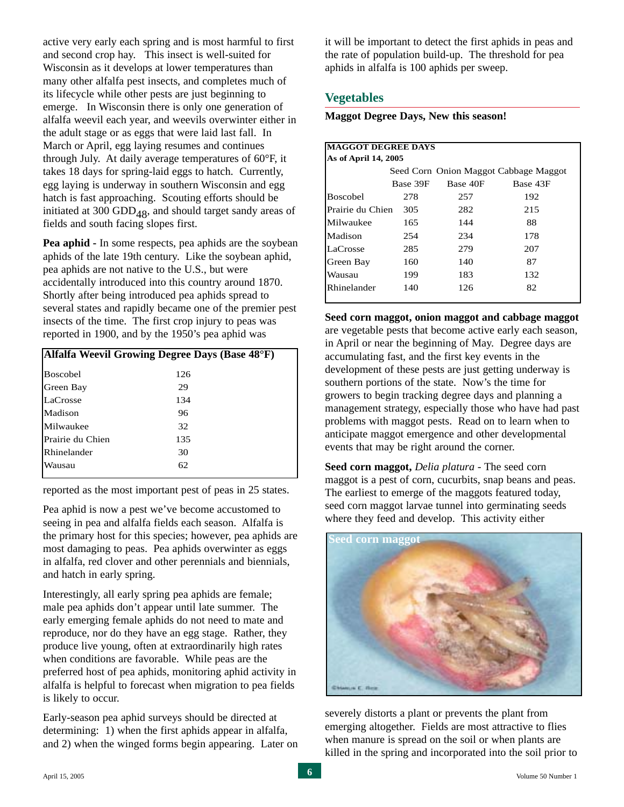active very early each spring and is most harmful to first and second crop hay. This insect is well-suited for Wisconsin as it develops at lower temperatures than many other alfalfa pest insects, and completes much of its lifecycle while other pests are just beginning to emerge. In Wisconsin there is only one generation of alfalfa weevil each year, and weevils overwinter either in the adult stage or as eggs that were laid last fall. In March or April, egg laying resumes and continues through July. At daily average temperatures of 60°F, it takes 18 days for spring-laid eggs to hatch. Currently, egg laying is underway in southern Wisconsin and egg hatch is fast approaching. Scouting efforts should be initiated at 300 GDD<sub>48</sub>, and should target sandy areas of fields and south facing slopes first.

**Pea aphid -** In some respects, pea aphids are the soybean aphids of the late 19th century. Like the soybean aphid, pea aphids are not native to the U.S., but were accidentally introduced into this country around 1870. Shortly after being introduced pea aphids spread to several states and rapidly became one of the premier pest insects of the time. The first crop injury to peas was reported in 1900, and by the 1950's pea aphid was

|                  | Alfalfa Weevil Growing Degree Days (Base 48°F) |
|------------------|------------------------------------------------|
| <b>Boscobel</b>  | 126                                            |
| <b>Green Bay</b> | 29                                             |
| LaCrosse         | 134                                            |
| lMadison         | 96                                             |
| Milwaukee        | 32                                             |
| Prairie du Chien | 135                                            |
| Rhinelander      | 30                                             |
| Wausau           | 62                                             |
|                  |                                                |

reported as the most important pest of peas in 25 states.

Pea aphid is now a pest we've become accustomed to seeing in pea and alfalfa fields each season. Alfalfa is the primary host for this species; however, pea aphids are most damaging to peas. Pea aphids overwinter as eggs in alfalfa, red clover and other perennials and biennials, and hatch in early spring.

Interestingly, all early spring pea aphids are female; male pea aphids don't appear until late summer. The early emerging female aphids do not need to mate and reproduce, nor do they have an egg stage. Rather, they produce live young, often at extraordinarily high rates when conditions are favorable. While peas are the preferred host of pea aphids, monitoring aphid activity in alfalfa is helpful to forecast when migration to pea fields is likely to occur.

Early-season pea aphid surveys should be directed at determining: 1) when the first aphids appear in alfalfa, and 2) when the winged forms begin appearing. Later on it will be important to detect the first aphids in peas and the rate of population build-up. The threshold for pea aphids in alfalfa is 100 aphids per sweep.

# **Vegetables**

**Maggot Degree Days, New this season!**

| <b>MAGGOT DEGREE DAYS</b> |                                       |          |          |  |  |
|---------------------------|---------------------------------------|----------|----------|--|--|
| As of April 14, 2005      |                                       |          |          |  |  |
|                           | Seed Corn Onion Maggot Cabbage Maggot |          |          |  |  |
|                           | Base 39F                              | Base 40F | Base 43F |  |  |
| Boscobel                  | 278                                   | 257      | 192      |  |  |
| Prairie du Chien          | 305                                   | 282      | 215      |  |  |
| Milwaukee                 | 165                                   | 144      | 88       |  |  |
| Madison                   | 254                                   | 234      | 178      |  |  |
| LaCrosse                  | 285                                   | 279      | 207      |  |  |
| Green Bay                 | 160                                   | 140      | 87       |  |  |
| Wausau                    | 199                                   | 183      | 132      |  |  |
| Rhinelander               | 140                                   | 126      | 82       |  |  |
|                           |                                       |          |          |  |  |

**Seed corn maggot, onion maggot and cabbage maggot** are vegetable pests that become active early each season, in April or near the beginning of May. Degree days are accumulating fast, and the first key events in the development of these pests are just getting underway is southern portions of the state. Now's the time for growers to begin tracking degree days and planning a management strategy, especially those who have had past problems with maggot pests. Read on to learn when to anticipate maggot emergence and other developmental events that may be right around the corner.

**Seed corn maggot,** *Delia platura* - The seed corn maggot is a pest of corn, cucurbits, snap beans and peas. The earliest to emerge of the maggots featured today, seed corn maggot larvae tunnel into germinating seeds where they feed and develop. This activity either



severely distorts a plant or prevents the plant from emerging altogether. Fields are most attractive to flies when manure is spread on the soil or when plants are killed in the spring and incorporated into the soil prior to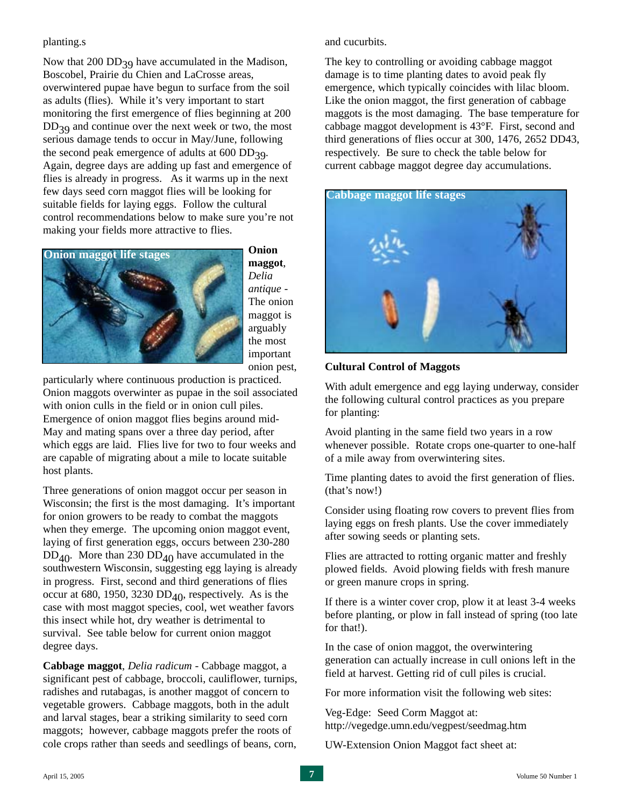#### planting.s

Now that  $200$  DD<sub>39</sub> have accumulated in the Madison, Boscobel, Prairie du Chien and LaCrosse areas, overwintered pupae have begun to surface from the soil as adults (flies). While it's very important to start monitoring the first emergence of flies beginning at 200  $DD_{39}$  and continue over the next week or two, the most serious damage tends to occur in May/June, following the second peak emergence of adults at  $600$  DD<sub>39</sub>. Again, degree days are adding up fast and emergence of flies is already in progress. As it warms up in the next few days seed corn maggot flies will be looking for suitable fields for laying eggs. Follow the cultural control recommendations below to make sure you're not making your fields more attractive to flies.



**Onion maggot**, *Delia antique* - The onion maggot is arguably the most important onion pest,

particularly where continuous production is practiced. Onion maggots overwinter as pupae in the soil associated with onion culls in the field or in onion cull piles. Emergence of onion maggot flies begins around mid-May and mating spans over a three day period, after which eggs are laid. Flies live for two to four weeks and are capable of migrating about a mile to locate suitable host plants.

Three generations of onion maggot occur per season in Wisconsin; the first is the most damaging. It's important for onion growers to be ready to combat the maggots when they emerge. The upcoming onion maggot event, laying of first generation eggs, occurs between 230-280  $DD_{40}$ . More than 230  $DD_{40}$  have accumulated in the southwestern Wisconsin, suggesting egg laying is already in progress. First, second and third generations of flies occur at 680, 1950, 3230  $DD_{40}$ , respectively. As is the case with most maggot species, cool, wet weather favors this insect while hot, dry weather is detrimental to survival. See table below for current onion maggot degree days.

**Cabbage maggot**, *Delia radicum* - Cabbage maggot, a significant pest of cabbage, broccoli, cauliflower, turnips, radishes and rutabagas, is another maggot of concern to vegetable growers. Cabbage maggots, both in the adult and larval stages, bear a striking similarity to seed corn maggots; however, cabbage maggots prefer the roots of cole crops rather than seeds and seedlings of beans, corn,

and cucurbits.

The key to controlling or avoiding cabbage maggot damage is to time planting dates to avoid peak fly emergence, which typically coincides with lilac bloom. Like the onion maggot, the first generation of cabbage maggots is the most damaging. The base temperature for cabbage maggot development is 43°F. First, second and third generations of flies occur at 300, 1476, 2652 DD43, respectively. Be sure to check the table below for current cabbage maggot degree day accumulations.



### **Cultural Control of Maggots**

With adult emergence and egg laying underway, consider the following cultural control practices as you prepare for planting:

Avoid planting in the same field two years in a row whenever possible. Rotate crops one-quarter to one-half of a mile away from overwintering sites.

Time planting dates to avoid the first generation of flies. (that's now!)

Consider using floating row covers to prevent flies from laying eggs on fresh plants. Use the cover immediately after sowing seeds or planting sets.

Flies are attracted to rotting organic matter and freshly plowed fields. Avoid plowing fields with fresh manure or green manure crops in spring.

If there is a winter cover crop, plow it at least 3-4 weeks before planting, or plow in fall instead of spring (too late for that!).

In the case of onion maggot, the overwintering generation can actually increase in cull onions left in the field at harvest. Getting rid of cull piles is crucial.

For more information visit the following web sites:

Veg-Edge: Seed Corm Maggot at: http://vegedge.umn.edu/vegpest/seedmag.htm

UW-Extension Onion Maggot fact sheet at: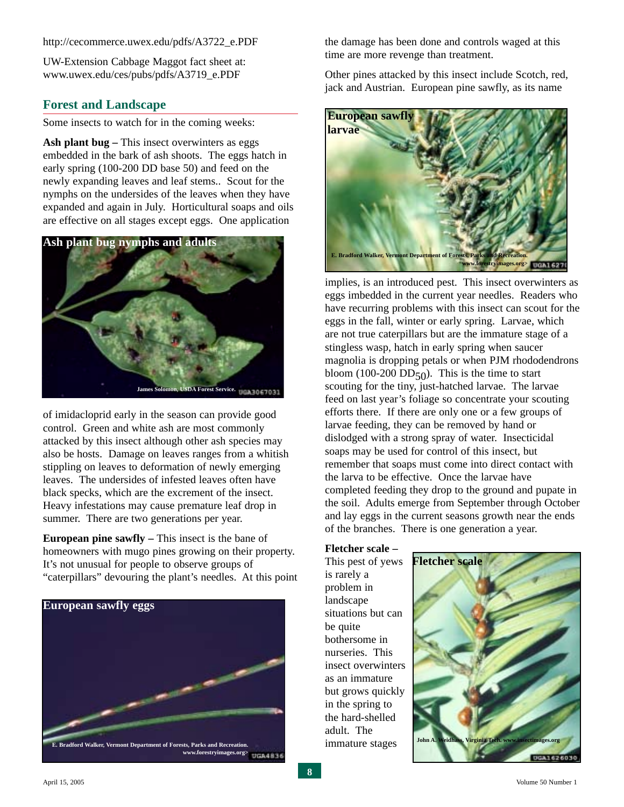http://cecommerce.uwex.edu/pdfs/A3722\_e.PDF

UW-Extension Cabbage Maggot fact sheet at: www.uwex.edu/ces/pubs/pdfs/A3719\_e.PDF

#### **Forest and Landscape**

Some insects to watch for in the coming weeks:

**Ash plant bug –** This insect overwinters as eggs embedded in the bark of ash shoots. The eggs hatch in early spring (100-200 DD base 50) and feed on the newly expanding leaves and leaf stems.. Scout for the nymphs on the undersides of the leaves when they have expanded and again in July. Horticultural soaps and oils are effective on all stages except eggs. One application



of imidacloprid early in the season can provide good control. Green and white ash are most commonly attacked by this insect although other ash species may also be hosts. Damage on leaves ranges from a whitish stippling on leaves to deformation of newly emerging leaves. The undersides of infested leaves often have black specks, which are the excrement of the insect. Heavy infestations may cause premature leaf drop in summer. There are two generations per year.

**European pine sawfly** – This insect is the bane of homeowners with mugo pines growing on their property. It's not unusual for people to observe groups of "caterpillars" devouring the plant's needles. At this point



the damage has been done and controls waged at this time are more revenge than treatment.

Other pines attacked by this insect include Scotch, red, jack and Austrian. European pine sawfly, as its name



implies, is an introduced pest. This insect overwinters as eggs imbedded in the current year needles. Readers who have recurring problems with this insect can scout for the eggs in the fall, winter or early spring. Larvae, which are not true caterpillars but are the immature stage of a stingless wasp, hatch in early spring when saucer magnolia is dropping petals or when PJM rhododendrons bloom (100-200  $DD_{50}$ ). This is the time to start scouting for the tiny, just-hatched larvae. The larvae feed on last year's foliage so concentrate your scouting efforts there. If there are only one or a few groups of larvae feeding, they can be removed by hand or dislodged with a strong spray of water. Insecticidal soaps may be used for control of this insect, but remember that soaps must come into direct contact with the larva to be effective. Once the larvae have completed feeding they drop to the ground and pupate in the soil. Adults emerge from September through October and lay eggs in the current seasons growth near the ends of the branches. There is one generation a year.

**Fletcher scale –** This pest of yews is rarely a problem in landscape situations but can be quite

bothersome in nurseries. This

as an immature

in the spring to the hard-shelled adult. The immature stages

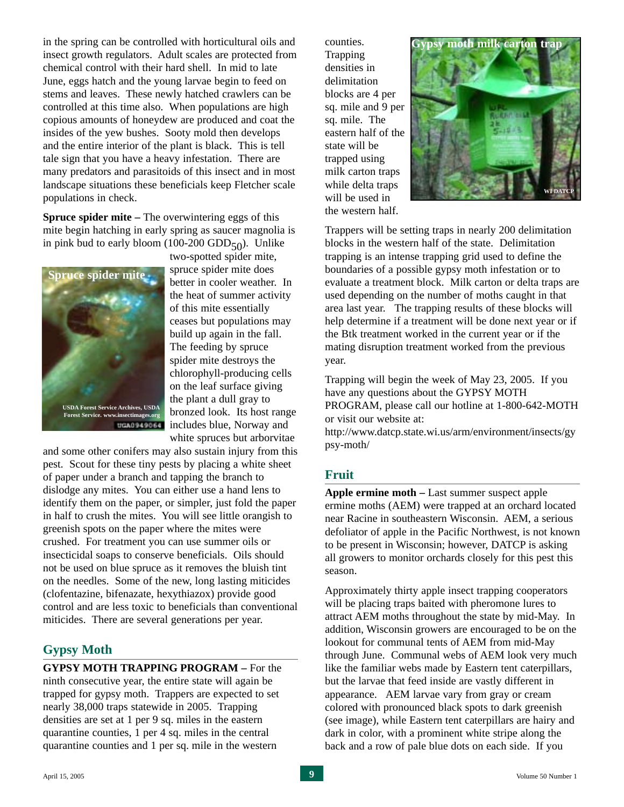in the spring can be controlled with horticultural oils and insect growth regulators. Adult scales are protected from chemical control with their hard shell. In mid to late June, eggs hatch and the young larvae begin to feed on stems and leaves. These newly hatched crawlers can be controlled at this time also. When populations are high copious amounts of honeydew are produced and coat the insides of the yew bushes. Sooty mold then develops and the entire interior of the plant is black. This is tell tale sign that you have a heavy infestation. There are many predators and parasitoids of this insect and in most landscape situations these beneficials keep Fletcher scale populations in check.

**Spruce spider mite –** The overwintering eggs of this mite begin hatching in early spring as saucer magnolia is in pink bud to early bloom (100-200 GDD $_{50}$ ). Unlike



two-spotted spider mite, spruce spider mite does better in cooler weather. In the heat of summer activity of this mite essentially ceases but populations may build up again in the fall. The feeding by spruce spider mite destroys the chlorophyll-producing cells on the leaf surface giving the plant a dull gray to bronzed look. Its host range includes blue, Norway and white spruces but arborvitae

and some other conifers may also sustain injury from this pest. Scout for these tiny pests by placing a white sheet of paper under a branch and tapping the branch to dislodge any mites. You can either use a hand lens to identify them on the paper, or simpler, just fold the paper in half to crush the mites. You will see little orangish to greenish spots on the paper where the mites were crushed. For treatment you can use summer oils or insecticidal soaps to conserve beneficials. Oils should not be used on blue spruce as it removes the bluish tint on the needles. Some of the new, long lasting miticides (clofentazine, bifenazate, hexythiazox) provide good control and are less toxic to beneficials than conventional miticides. There are several generations per year.

### **Gypsy Moth**

**GYPSY MOTH TRAPPING PROGRAM –** For the ninth consecutive year, the entire state will again be trapped for gypsy moth. Trappers are expected to set nearly 38,000 traps statewide in 2005. Trapping densities are set at 1 per 9 sq. miles in the eastern quarantine counties, 1 per 4 sq. miles in the central quarantine counties and 1 per sq. mile in the western

counties. Trapping densities in delimitation blocks are 4 per sq. mile and 9 per sq. mile. The eastern half of the state will be trapped using milk carton traps while delta traps will be used in the western half.



Trappers will be setting traps in nearly 200 delimitation blocks in the western half of the state. Delimitation trapping is an intense trapping grid used to define the boundaries of a possible gypsy moth infestation or to evaluate a treatment block. Milk carton or delta traps are used depending on the number of moths caught in that area last year. The trapping results of these blocks will help determine if a treatment will be done next year or if the Btk treatment worked in the current year or if the mating disruption treatment worked from the previous year.

Trapping will begin the week of May 23, 2005. If you have any questions about the GYPSY MOTH PROGRAM, please call our hotline at 1-800-642-MOTH or visit our website at:

http://www.datcp.state.wi.us/arm/environment/insects/gy psy-moth/

#### **Fruit**

**Apple ermine moth –** Last summer suspect apple ermine moths (AEM) were trapped at an orchard located near Racine in southeastern Wisconsin. AEM, a serious defoliator of apple in the Pacific Northwest, is not known to be present in Wisconsin; however, DATCP is asking all growers to monitor orchards closely for this pest this season.

Approximately thirty apple insect trapping cooperators will be placing traps baited with pheromone lures to attract AEM moths throughout the state by mid-May. In addition, Wisconsin growers are encouraged to be on the lookout for communal tents of AEM from mid-May through June. Communal webs of AEM look very much like the familiar webs made by Eastern tent caterpillars, but the larvae that feed inside are vastly different in appearance. AEM larvae vary from gray or cream colored with pronounced black spots to dark greenish (see image), while Eastern tent caterpillars are hairy and dark in color, with a prominent white stripe along the back and a row of pale blue dots on each side. If you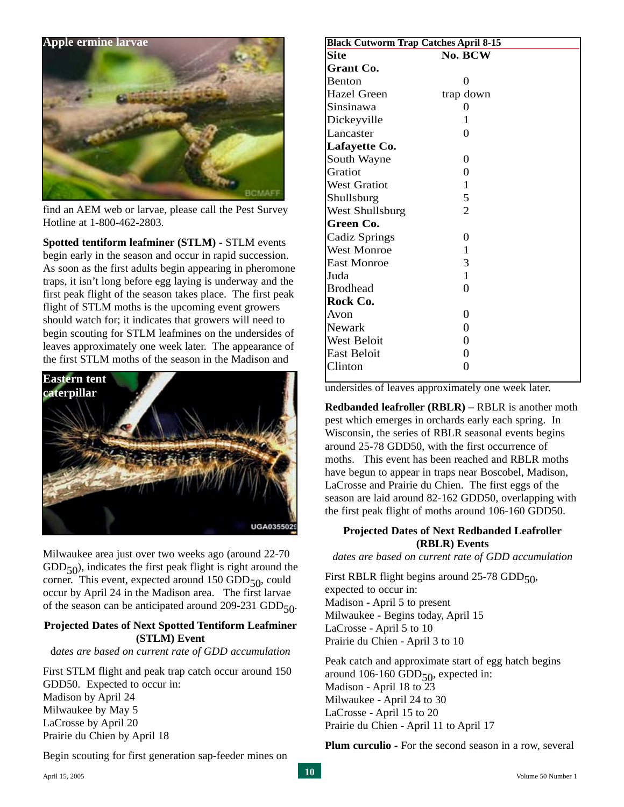

find an AEM web or larvae, please call the Pest Survey Hotline at 1-800-462-2803.

**Spotted tentiform leafminer (STLM) -** STLM events begin early in the season and occur in rapid succession. As soon as the first adults begin appearing in pheromone traps, it isn't long before egg laying is underway and the first peak flight of the season takes place. The first peak flight of STLM moths is the upcoming event growers should watch for; it indicates that growers will need to begin scouting for STLM leafmines on the undersides of leaves approximately one week later. The appearance of the first STLM moths of the season in the Madison and



Milwaukee area just over two weeks ago (around 22-70  $GDD<sub>50</sub>$ ), indicates the first peak flight is right around the corner. This event, expected around  $150$  GDD $_{50}$ , could occur by April 24 in the Madison area. The first larvae of the season can be anticipated around 209-231 GDD $_{50}$ .

#### **Projected Dates of Next Spotted Tentiform Leafminer (STLM) Event**

d*ates are based on current rate of GDD accumulation*

First STLM flight and peak trap catch occur around 150 GDD50. Expected to occur in: Madison by April 24 Milwaukee by May 5 LaCrosse by April 20 Prairie du Chien by April 18

Begin scouting for first generation sap-feeder mines on

| <b>Black Cutworm Trap Catches April 8-15</b> |                |  |  |  |
|----------------------------------------------|----------------|--|--|--|
| <b>Site</b>                                  | No. BCW        |  |  |  |
| Grant Co.                                    |                |  |  |  |
| <b>Benton</b>                                | 0              |  |  |  |
| Hazel Green                                  | trap down      |  |  |  |
| Sinsinawa                                    | 0              |  |  |  |
| Dickeyville                                  | 1              |  |  |  |
| Lancaster                                    | 0              |  |  |  |
| Lafayette Co.                                |                |  |  |  |
| South Wayne                                  | 0              |  |  |  |
| Gratiot                                      | $\theta$       |  |  |  |
| <b>West Gratiot</b>                          | 1              |  |  |  |
| Shullsburg                                   | 5              |  |  |  |
| West Shullsburg                              | $\overline{2}$ |  |  |  |
| Green Co.                                    |                |  |  |  |
| Cadiz Springs                                | 0              |  |  |  |
| <b>West Monroe</b>                           | 1              |  |  |  |
| <b>East Monroe</b>                           | 3              |  |  |  |
| Juda                                         | $\mathbf{1}$   |  |  |  |
| <b>Brodhead</b>                              | 0              |  |  |  |
| Rock Co.                                     |                |  |  |  |
| Avon                                         | 0              |  |  |  |
| Newark                                       | 0              |  |  |  |
| West Beloit                                  | 0              |  |  |  |
| East Beloit                                  | 0              |  |  |  |
| Clinton                                      | 0              |  |  |  |
|                                              |                |  |  |  |

undersides of leaves approximately one week later.

**Redbanded leafroller (RBLR) –** RBLR is another moth pest which emerges in orchards early each spring. In Wisconsin, the series of RBLR seasonal events begins around 25-78 GDD50, with the first occurrence of moths. This event has been reached and RBLR moths have begun to appear in traps near Boscobel, Madison, LaCrosse and Prairie du Chien. The first eggs of the season are laid around 82-162 GDD50, overlapping with the first peak flight of moths around 106-160 GDD50.

#### **Projected Dates of Next Redbanded Leafroller (RBLR) Events**

*dates are based on current rate of GDD accumulation*

First RBLR flight begins around  $25-78$  GDD $_{50}$ , expected to occur in: Madison - April 5 to present Milwaukee - Begins today, April 15 LaCrosse - April 5 to 10 Prairie du Chien - April 3 to 10

Peak catch and approximate start of egg hatch begins around 106-160 GDD $_{50}$ , expected in: Madison - April 18 to 23 Milwaukee - April 24 to 30 LaCrosse - April 15 to 20 Prairie du Chien - April 11 to April 17

**Plum curculio -** For the second season in a row, several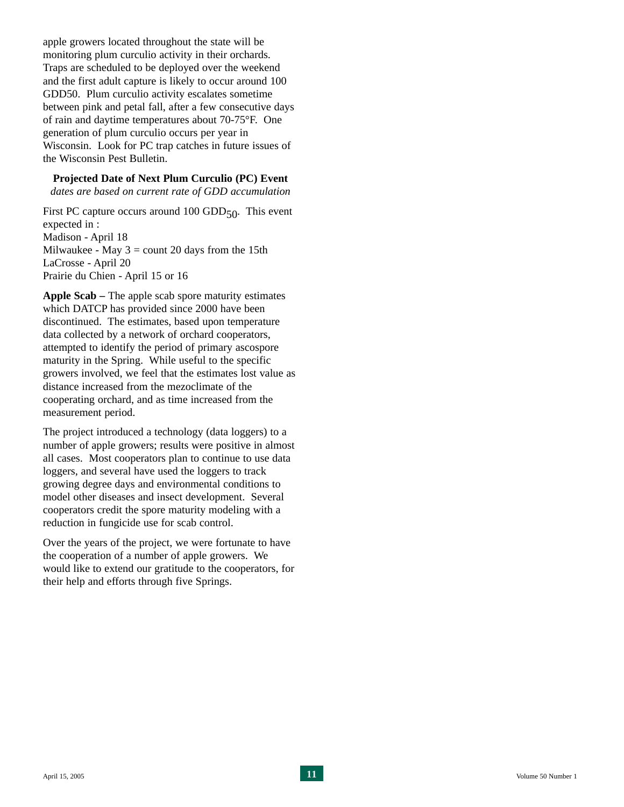apple growers located throughout the state will be monitoring plum curculio activity in their orchards. Traps are scheduled to be deployed over the weekend and the first adult capture is likely to occur around 100 GDD50. Plum curculio activity escalates sometime between pink and petal fall, after a few consecutive days of rain and daytime temperatures about 70-75°F. One generation of plum curculio occurs per year in Wisconsin. Look for PC trap catches in future issues of the Wisconsin Pest Bulletin.

**Projected Date of Next Plum Curculio (PC) Event**

*dates are based on current rate of GDD accumulation*

First PC capture occurs around 100 GDD $_{50}$ . This event expected in : Madison - April 18 Milwaukee - May  $3 =$  count 20 days from the 15th LaCrosse - April 20 Prairie du Chien - April 15 or 16

**Apple Scab –** The apple scab spore maturity estimates which DATCP has provided since 2000 have been discontinued. The estimates, based upon temperature data collected by a network of orchard cooperators, attempted to identify the period of primary ascospore maturity in the Spring. While useful to the specific growers involved, we feel that the estimates lost value as distance increased from the mezoclimate of the cooperating orchard, and as time increased from the measurement period.

The project introduced a technology (data loggers) to a number of apple growers; results were positive in almost all cases. Most cooperators plan to continue to use data loggers, and several have used the loggers to track growing degree days and environmental conditions to model other diseases and insect development. Several cooperators credit the spore maturity modeling with a reduction in fungicide use for scab control.

Over the years of the project, we were fortunate to have the cooperation of a number of apple growers. We would like to extend our gratitude to the cooperators, for their help and efforts through five Springs.